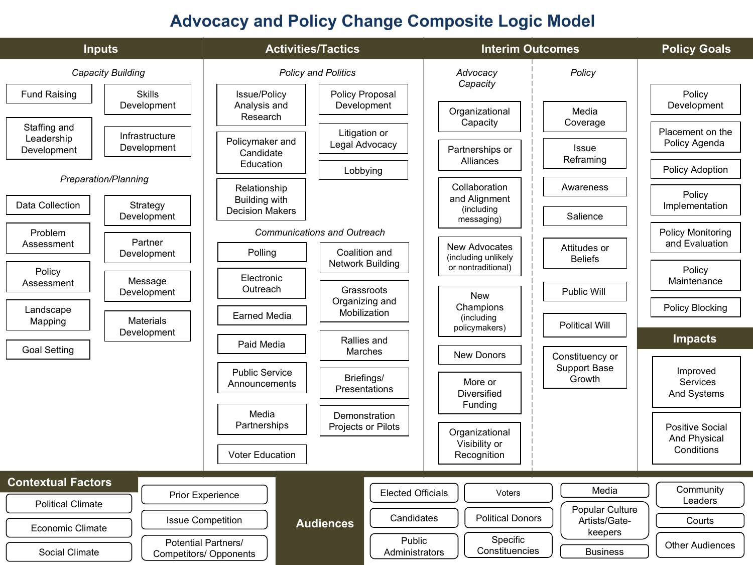### **Advocacy and Policy Change Composite Logic Model**

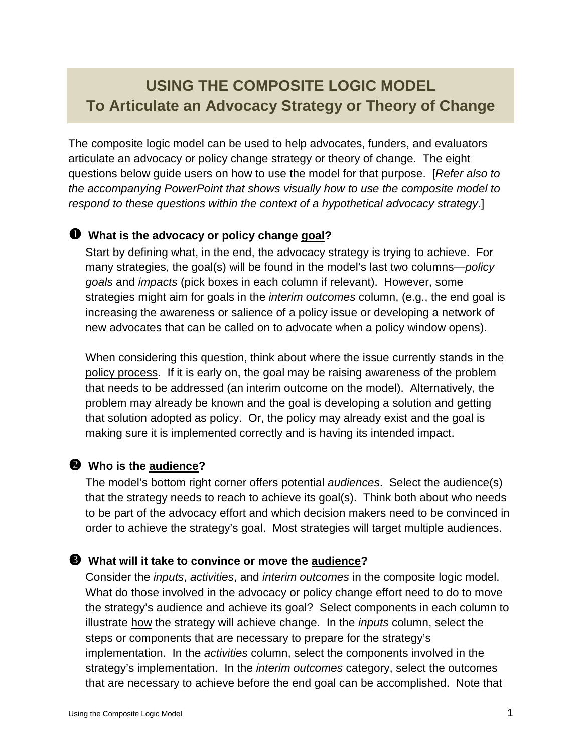## **USING THE COMPOSITE LOGIC MODEL To Articulate an Advocacy Strategy or Theory of Change**

The composite logic model can be used to help advocates, funders, and evaluators articulate an advocacy or policy change strategy or theory of change. The eight questions below guide users on how to use the model for that purpose. [Refer also to the accompanying PowerPoint that shows visually how to use the composite model to respond to these questions within the context of a hypothetical advocacy strategy.]

#### **What is the advocacy or policy change goal?**

Start by defining what, in the end, the advocacy strategy is trying to achieve. For many strategies, the goal(s) will be found in the model's last two columns—*policy* goals and impacts (pick boxes in each column if relevant). However, some strategies might aim for goals in the *interim outcomes* column, (e.g., the end goal is increasing the awareness or salience of a policy issue or developing a network of new advocates that can be called on to advocate when a policy window opens).

When considering this question, think about where the issue currently stands in the policy process. If it is early on, the goal may be raising awareness of the problem that needs to be addressed (an interim outcome on the model). Alternatively, the problem may already be known and the goal is developing a solution and getting that solution adopted as policy. Or, the policy may already exist and the goal is making sure it is implemented correctly and is having its intended impact.

## - **Who is the audience?**

The model's bottom right corner offers potential *audiences*. Select the audience(s) that the strategy needs to reach to achieve its goal(s). Think both about who needs to be part of the advocacy effort and which decision makers need to be convinced in order to achieve the strategy's goal. Most strategies will target multiple audiences.

#### **What will it take to convince or move the audience?**

Consider the inputs, activities, and interim outcomes in the composite logic model. What do those involved in the advocacy or policy change effort need to do to move the strategy's audience and achieve its goal? Select components in each column to illustrate how the strategy will achieve change. In the inputs column, select the steps or components that are necessary to prepare for the strategy's implementation. In the activities column, select the components involved in the strategy's implementation. In the *interim outcomes* category, select the outcomes that are necessary to achieve before the end goal can be accomplished. Note that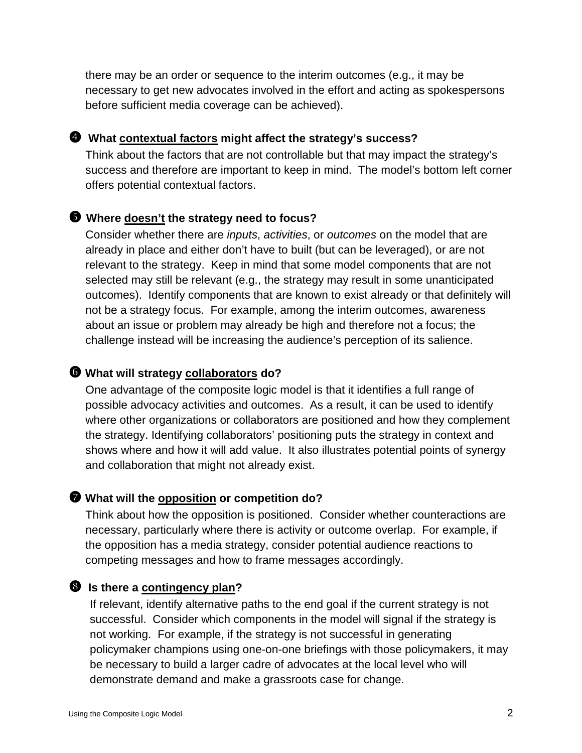there may be an order or sequence to the interim outcomes (e.g., it may be necessary to get new advocates involved in the effort and acting as spokespersons before sufficient media coverage can be achieved).

#### **What contextual factors might affect the strategy's success?**

Think about the factors that are not controllable but that may impact the strategy's success and therefore are important to keep in mind. The model's bottom left corner offers potential contextual factors.

#### **Where doesn't the strategy need to focus?**

Consider whether there are *inputs, activities, or outcomes* on the model that are already in place and either don't have to built (but can be leveraged), or are not relevant to the strategy. Keep in mind that some model components that are not selected may still be relevant (e.g., the strategy may result in some unanticipated outcomes). Identify components that are known to exist already or that definitely will not be a strategy focus. For example, among the interim outcomes, awareness about an issue or problem may already be high and therefore not a focus; the challenge instead will be increasing the audience's perception of its salience.

### **What will strategy collaborators do?**

One advantage of the composite logic model is that it identifies a full range of possible advocacy activities and outcomes. As a result, it can be used to identify where other organizations or collaborators are positioned and how they complement the strategy. Identifying collaborators' positioning puts the strategy in context and shows where and how it will add value. It also illustrates potential points of synergy and collaboration that might not already exist.

#### **What will the opposition or competition do?**

Think about how the opposition is positioned. Consider whether counteractions are necessary, particularly where there is activity or outcome overlap. For example, if the opposition has a media strategy, consider potential audience reactions to competing messages and how to frame messages accordingly.

#### **8** Is there a contingency plan?

If relevant, identify alternative paths to the end goal if the current strategy is not successful. Consider which components in the model will signal if the strategy is not working. For example, if the strategy is not successful in generating policymaker champions using one-on-one briefings with those policymakers, it may be necessary to build a larger cadre of advocates at the local level who will demonstrate demand and make a grassroots case for change.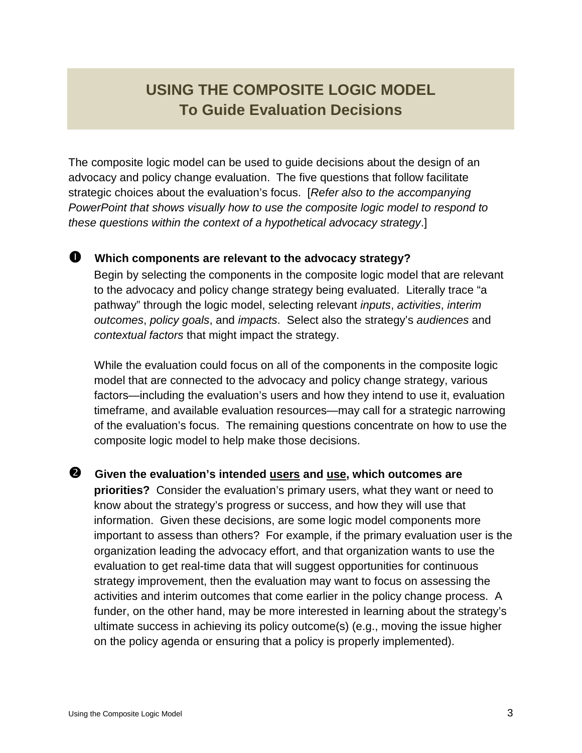## **USING THE COMPOSITE LOGIC MODEL To Guide Evaluation Decisions**

The composite logic model can be used to guide decisions about the design of an advocacy and policy change evaluation. The five questions that follow facilitate strategic choices about the evaluation's focus. [Refer also to the accompanying PowerPoint that shows visually how to use the composite logic model to respond to these questions within the context of a hypothetical advocacy strategy.]

### **Which components are relevant to the advocacy strategy?**

Begin by selecting the components in the composite logic model that are relevant to the advocacy and policy change strategy being evaluated. Literally trace "a pathway" through the logic model, selecting relevant inputs, activities, interim outcomes, policy goals, and impacts. Select also the strategy's audiences and contextual factors that might impact the strategy.

While the evaluation could focus on all of the components in the composite logic model that are connected to the advocacy and policy change strategy, various factors—including the evaluation's users and how they intend to use it, evaluation timeframe, and available evaluation resources—may call for a strategic narrowing of the evaluation's focus. The remaining questions concentrate on how to use the composite logic model to help make those decisions.

**<sup>2</sup>** Given the evaluation's intended users and use, which outcomes are **priorities?** Consider the evaluation's primary users, what they want or need to know about the strategy's progress or success, and how they will use that information. Given these decisions, are some logic model components more important to assess than others? For example, if the primary evaluation user is the organization leading the advocacy effort, and that organization wants to use the evaluation to get real-time data that will suggest opportunities for continuous strategy improvement, then the evaluation may want to focus on assessing the activities and interim outcomes that come earlier in the policy change process. A funder, on the other hand, may be more interested in learning about the strategy's ultimate success in achieving its policy outcome(s) (e.g., moving the issue higher on the policy agenda or ensuring that a policy is properly implemented).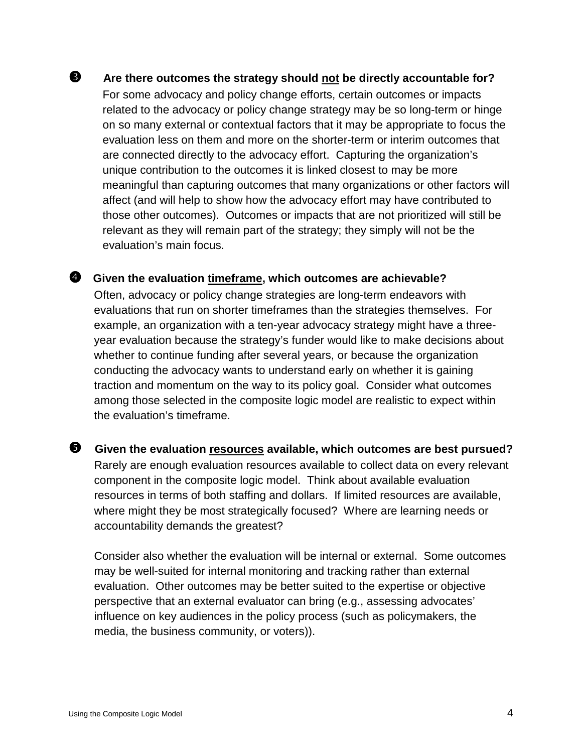### **8** Are there outcomes the strategy should not be directly accountable for? For some advocacy and policy change efforts, certain outcomes or impacts related to the advocacy or policy change strategy may be so long-term or hinge on so many external or contextual factors that it may be appropriate to focus the evaluation less on them and more on the shorter-term or interim outcomes that are connected directly to the advocacy effort. Capturing the organization's unique contribution to the outcomes it is linked closest to may be more meaningful than capturing outcomes that many organizations or other factors will affect (and will help to show how the advocacy effort may have contributed to those other outcomes). Outcomes or impacts that are not prioritized will still be relevant as they will remain part of the strategy; they simply will not be the evaluation's main focus.

#### **4** Given the evaluation timeframe, which outcomes are achievable?

Often, advocacy or policy change strategies are long-term endeavors with evaluations that run on shorter timeframes than the strategies themselves. For example, an organization with a ten-year advocacy strategy might have a threeyear evaluation because the strategy's funder would like to make decisions about whether to continue funding after several years, or because the organization conducting the advocacy wants to understand early on whether it is gaining traction and momentum on the way to its policy goal. Consider what outcomes among those selected in the composite logic model are realistic to expect within the evaluation's timeframe.

 **Given the evaluation resources available, which outcomes are best pursued?**  Rarely are enough evaluation resources available to collect data on every relevant component in the composite logic model. Think about available evaluation resources in terms of both staffing and dollars. If limited resources are available, where might they be most strategically focused? Where are learning needs or accountability demands the greatest?

Consider also whether the evaluation will be internal or external. Some outcomes may be well-suited for internal monitoring and tracking rather than external evaluation. Other outcomes may be better suited to the expertise or objective perspective that an external evaluator can bring (e.g., assessing advocates' influence on key audiences in the policy process (such as policymakers, the media, the business community, or voters)).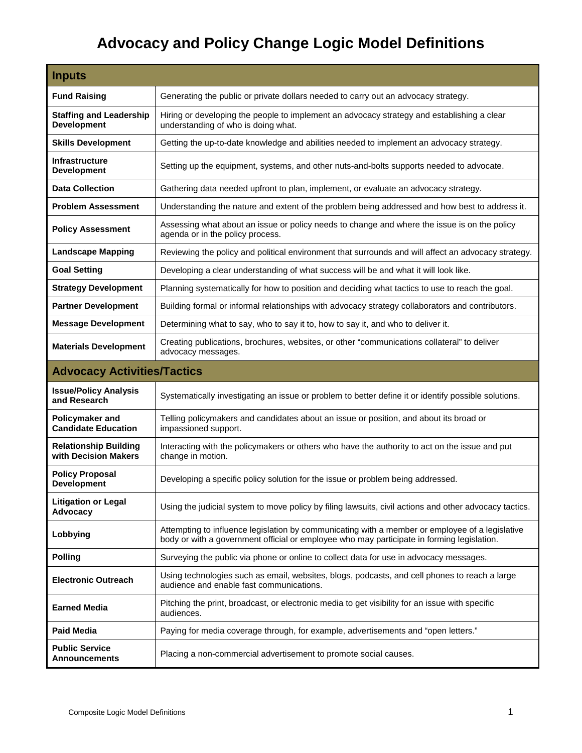# **Advocacy and Policy Change Logic Model Definitions**

| <b>Inputs</b>                                        |                                                                                                                                                                                               |  |
|------------------------------------------------------|-----------------------------------------------------------------------------------------------------------------------------------------------------------------------------------------------|--|
| <b>Fund Raising</b>                                  | Generating the public or private dollars needed to carry out an advocacy strategy.                                                                                                            |  |
| <b>Staffing and Leadership</b><br><b>Development</b> | Hiring or developing the people to implement an advocacy strategy and establishing a clear<br>understanding of who is doing what.                                                             |  |
| <b>Skills Development</b>                            | Getting the up-to-date knowledge and abilities needed to implement an advocacy strategy.                                                                                                      |  |
| <b>Infrastructure</b><br><b>Development</b>          | Setting up the equipment, systems, and other nuts-and-bolts supports needed to advocate.                                                                                                      |  |
| <b>Data Collection</b>                               | Gathering data needed upfront to plan, implement, or evaluate an advocacy strategy.                                                                                                           |  |
| <b>Problem Assessment</b>                            | Understanding the nature and extent of the problem being addressed and how best to address it.                                                                                                |  |
| <b>Policy Assessment</b>                             | Assessing what about an issue or policy needs to change and where the issue is on the policy<br>agenda or in the policy process.                                                              |  |
| <b>Landscape Mapping</b>                             | Reviewing the policy and political environment that surrounds and will affect an advocacy strategy.                                                                                           |  |
| <b>Goal Setting</b>                                  | Developing a clear understanding of what success will be and what it will look like.                                                                                                          |  |
| <b>Strategy Development</b>                          | Planning systematically for how to position and deciding what tactics to use to reach the goal.                                                                                               |  |
| <b>Partner Development</b>                           | Building formal or informal relationships with advocacy strategy collaborators and contributors.                                                                                              |  |
| <b>Message Development</b>                           | Determining what to say, who to say it to, how to say it, and who to deliver it.                                                                                                              |  |
| <b>Materials Development</b>                         | Creating publications, brochures, websites, or other "communications collateral" to deliver<br>advocacy messages.                                                                             |  |
| <b>Advocacy Activities/Tactics</b>                   |                                                                                                                                                                                               |  |
| <b>Issue/Policy Analysis</b><br>and Research         | Systematically investigating an issue or problem to better define it or identify possible solutions.                                                                                          |  |
| Policymaker and<br><b>Candidate Education</b>        | Telling policymakers and candidates about an issue or position, and about its broad or<br>impassioned support.                                                                                |  |
| <b>Relationship Building</b><br>with Decision Makers | Interacting with the policymakers or others who have the authority to act on the issue and put<br>change in motion.                                                                           |  |
| <b>Policy Proposal</b><br><b>Development</b>         | Developing a specific policy solution for the issue or problem being addressed.                                                                                                               |  |
| <b>Litigation or Legal</b><br>Advocacy               | Using the judicial system to move policy by filing lawsuits, civil actions and other advocacy tactics.                                                                                        |  |
| Lobbying                                             | Attempting to influence legislation by communicating with a member or employee of a legislative<br>body or with a government official or employee who may participate in forming legislation. |  |
| <b>Polling</b>                                       | Surveying the public via phone or online to collect data for use in advocacy messages.                                                                                                        |  |
| <b>Electronic Outreach</b>                           | Using technologies such as email, websites, blogs, podcasts, and cell phones to reach a large<br>audience and enable fast communications.                                                     |  |
| <b>Earned Media</b>                                  | Pitching the print, broadcast, or electronic media to get visibility for an issue with specific<br>audiences.                                                                                 |  |
| <b>Paid Media</b>                                    | Paying for media coverage through, for example, advertisements and "open letters."                                                                                                            |  |
| <b>Public Service</b><br>Announcements               | Placing a non-commercial advertisement to promote social causes.                                                                                                                              |  |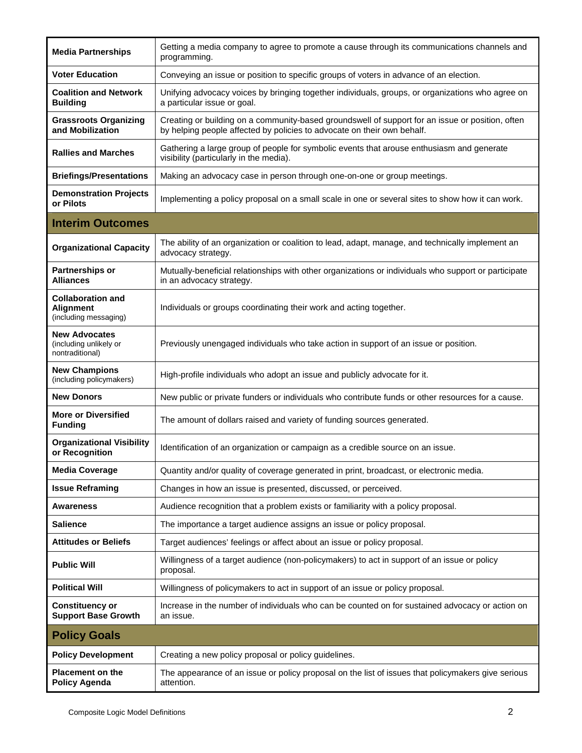| <b>Media Partnerships</b>                                             | Getting a media company to agree to promote a cause through its communications channels and<br>programming.                                                                 |
|-----------------------------------------------------------------------|-----------------------------------------------------------------------------------------------------------------------------------------------------------------------------|
| <b>Voter Education</b>                                                | Conveying an issue or position to specific groups of voters in advance of an election.                                                                                      |
| <b>Coalition and Network</b><br><b>Building</b>                       | Unifying advocacy voices by bringing together individuals, groups, or organizations who agree on<br>a particular issue or goal.                                             |
| <b>Grassroots Organizing</b><br>and Mobilization                      | Creating or building on a community-based groundswell of support for an issue or position, often<br>by helping people affected by policies to advocate on their own behalf. |
| <b>Rallies and Marches</b>                                            | Gathering a large group of people for symbolic events that arouse enthusiasm and generate<br>visibility (particularly in the media).                                        |
| <b>Briefings/Presentations</b>                                        | Making an advocacy case in person through one-on-one or group meetings.                                                                                                     |
| <b>Demonstration Projects</b><br>or Pilots                            | Implementing a policy proposal on a small scale in one or several sites to show how it can work.                                                                            |
| <b>Interim Outcomes</b>                                               |                                                                                                                                                                             |
| <b>Organizational Capacity</b>                                        | The ability of an organization or coalition to lead, adapt, manage, and technically implement an<br>advocacy strategy.                                                      |
| <b>Partnerships or</b><br><b>Alliances</b>                            | Mutually-beneficial relationships with other organizations or individuals who support or participate<br>in an advocacy strategy.                                            |
| <b>Collaboration and</b><br><b>Alignment</b><br>(including messaging) | Individuals or groups coordinating their work and acting together.                                                                                                          |
| <b>New Advocates</b><br>(including unlikely or<br>nontraditional)     | Previously unengaged individuals who take action in support of an issue or position.                                                                                        |
| <b>New Champions</b><br>(including policymakers)                      | High-profile individuals who adopt an issue and publicly advocate for it.                                                                                                   |
| <b>New Donors</b>                                                     | New public or private funders or individuals who contribute funds or other resources for a cause.                                                                           |
| <b>More or Diversified</b><br><b>Funding</b>                          | The amount of dollars raised and variety of funding sources generated.                                                                                                      |
| <b>Organizational Visibility</b><br>or Recognition                    | Identification of an organization or campaign as a credible source on an issue.                                                                                             |
| <b>Media Coverage</b>                                                 | Quantity and/or quality of coverage generated in print, broadcast, or electronic media.                                                                                     |
| <b>Issue Reframing</b>                                                | Changes in how an issue is presented, discussed, or perceived.                                                                                                              |
| Awareness                                                             | Audience recognition that a problem exists or familiarity with a policy proposal.                                                                                           |
| Salience                                                              | The importance a target audience assigns an issue or policy proposal.                                                                                                       |
| <b>Attitudes or Beliefs</b>                                           | Target audiences' feelings or affect about an issue or policy proposal.                                                                                                     |
| <b>Public Will</b>                                                    | Willingness of a target audience (non-policymakers) to act in support of an issue or policy<br>proposal.                                                                    |
| <b>Political Will</b>                                                 | Willingness of policymakers to act in support of an issue or policy proposal.                                                                                               |
| <b>Constituency or</b><br><b>Support Base Growth</b>                  | Increase in the number of individuals who can be counted on for sustained advocacy or action on<br>an issue.                                                                |
| <b>Policy Goals</b>                                                   |                                                                                                                                                                             |
| <b>Policy Development</b>                                             | Creating a new policy proposal or policy guidelines.                                                                                                                        |
| <b>Placement on the</b><br><b>Policy Agenda</b>                       | The appearance of an issue or policy proposal on the list of issues that policymakers give serious<br>attention.                                                            |